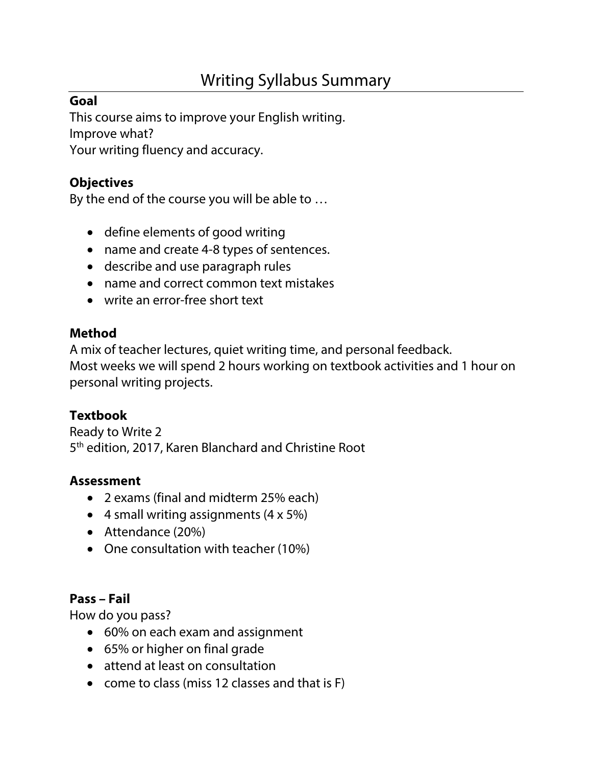# Writing Syllabus Summary

# **Goal**

This course aims to improve your English writing. Improve what? Your writing fluency and accuracy.

### **Objectives**

By the end of the course you will be able to …

- define elements of good writing
- name and create 4-8 types of sentences.
- describe and use paragraph rules
- name and correct common text mistakes
- write an error-free short text

#### **Method**

A mix of teacher lectures, quiet writing time, and personal feedback. Most weeks we will spend 2 hours working on textbook activities and 1 hour on personal writing projects.

## **Textbook**

Ready to Write 2 5th edition, 2017, Karen Blanchard and Christine Root

#### **Assessment**

- 2 exams (final and midterm 25% each)
- 4 small writing assignments  $(4 \times 5\%)$
- Attendance (20%)
- One consultation with teacher (10%)

#### **Pass – Fail**

How do you pass?

- 60% on each exam and assignment
- 65% or higher on final grade
- attend at least on consultation
- come to class (miss 12 classes and that is F)